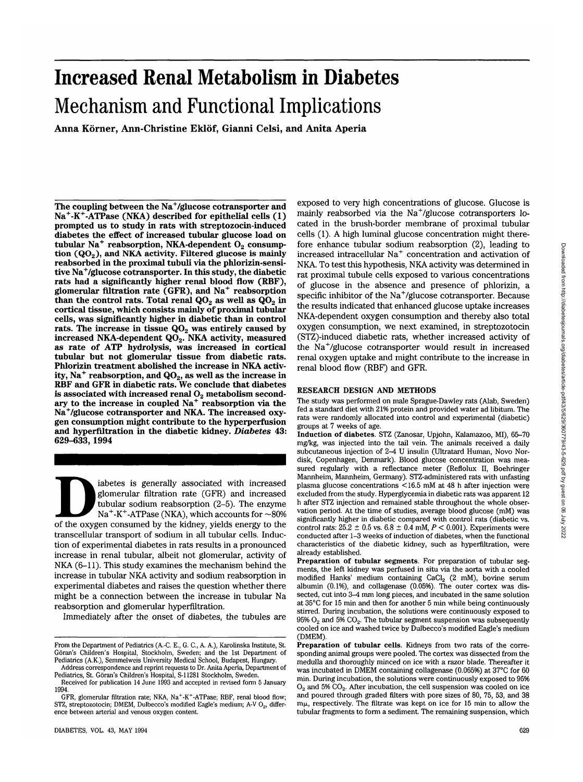# Increased Renal Metabolism in Diabetes Mechanism and Functional Implications

**Anna Korner, Ann-Christine Eklof, Gianni Celsi, and Anita Aperia**

**The coupling between the Na<sup>+</sup> /glucose cotransporter and Na<sup>+</sup> -K<sup>+</sup> -ATPase (NKA) described for epithelial cells (1) prompted us to study in rats with streptozocin-induced diabetes the effect of increased tubular glucose load on** tubular Na<sup>+</sup> reabsorption, NKA-dependent O<sub>2</sub> consump**tion (QO2), and NKA activity. Filtered glucose is mainly reabsorbed in the proximal tubuli via the phlorizin-sensitive Na<sup>+</sup> /glucose cotransporter. In this study, the diabetic rats had a significantly higher renal blood flow (RBF), glomerular filtration rate (GFR), and Na<sup>+</sup> reabsorption** than the control rats. Total renal QO<sub>2</sub> as well as  $QO<sub>2</sub>$  in **cortical tissue, which consists mainly of proximal tubular cells, was significantly higher in diabetic than in control** rats. The increase in tissue QO<sub>2</sub> was entirely caused by increased NKA-dependent QO<sub>2</sub>. NKA activity, measured **as rate of ATP hydrolysis, was increased in cortical tubular but not glomerular tissue from diabetic rats. Phlorizin treatment abolished the increase in NKA activ**ity, Na<sup>+</sup> reabsorption, and QO<sub>2</sub>, as well as the increase in **RBF and GFR in diabetic rats. We conclude that diabetes** is associated with increased renal O<sub>2</sub> metabolism second**ary to the increase in coupled Na<sup>+</sup> reabsorption via the Na<sup>+</sup> /glucose cotransporter and NKA. The increased oxygen consumption might contribute to the hyperperfusion and hyperfiltration in the diabetic kidney.** *Diabetes* **43: 629-633, 1994**

iabetes is generally associated with increased<br>glomerular filtration rate (GFR) and increased<br>tubular sodium reabsorption (2–5). The enzyme<br>Na<sup>+</sup>-K<sup>+</sup>-ATPase (NKA), which accounts for ~80%<br>of the oxygen consumed by the kid glomerular filtration rate (GFR) and increased tubular sodium reabsorption (2-5). The enzyme  $Na^+$ -K<sup>+</sup>-ATPase (NKA), which accounts for  $\sim$ 80% transcellular transport of sodium in all tubular cells. Induction of experimental diabetes in rats results in a pronounced increase in renal tubular, albeit not glomerular, activity of NKA (6-11). This study examines the mechanism behind the increase in tubular NKA activity and sodium reabsorption in experimental diabetes and raises the question whether there might be a connection between the increase in tubular Na reabsorption and glomerular hyperfiltration.

Immediately after the onset of diabetes, the tubules are

DIABETES, VOL. 43, MAY 1994 629

exposed to very high concentrations of glucose. Glucose is mainly reabsorbed via the Na<sup>+</sup>/glucose cotransporters located in the brush-border membrane of proximal tubular cells (1). A high luminal glucose concentration might therefore enhance tubular sodium reabsorption (2), leading to increased intracellular Na<sup>+</sup> concentration and activation of NKA. To test this hypothesis, NKA activity was determined in rat proximal tubule cells exposed to various concentrations of glucose in the absence and presence of phlorizin, a specific inhibitor of the Na<sup>+</sup>/glucose cotransporter. Because the results indicated that enhanced glucose uptake increases NKA-dependent oxygen consumption and thereby also total oxygen consumption, we next examined, in streptozotocin (STZ)-induced diabetic rats, whether increased activity of the Na<sup>+</sup> /glucose cotransporter would result in increased renal oxygen uptake and might contribute to the increase in renal blood flow (RBF) and GFR.

## **RESEARCH DESIGN AND METHODS**

The study was performed on male Sprague-Dawley rats (Alab, Sweden) fed a standard diet with 21% protein and provided water ad libitum. The rats were randomly allocated into control and experimental (diabetic) groups at 7 weeks of age.

**Induction of diabetes.** STZ (Zanosar, Upjohn, Kalamazoo, MI), 65-70 mg/kg, was injected into the tail vein. The animals received a daily subcutaneous injection of 2-4 U insulin (Ultratard Human, Novo Nordisk, Copenhagen, Denmark). Blood glucose concentration was measured regularly with a reflectance meter (Reflolux II, Boehringer Mannheim, Mannheim, Germany). STZ-administered rats with unfasting plasma glucose concentrations <16.5 mM at 48 h after injection were excluded from the study. Hyperglycemia in diabetic rats was apparent 12 h after STZ injection and remained stable throughout the whole observation period. At the time of studies, average blood glucose (mM) was significantly higher in diabetic compared with control rats (diabetic vs. control rats:  $25.2 \pm 0.5$  vs.  $6.8 \pm 0.4$  mM,  $P < 0.001$ ). Experiments were conducted after 1-3 weeks of induction of diabetes, when the functional characteristics of the diabetic kidney, such as hyperfiltration, were already established.

**Preparation of tubular segments.** For preparation of tubular seg ments, the left kidney was perfused in situ via the aorta with a cooled modified Hanks' medium containing CaCl<sub>2</sub> (2 mM), bovine serum albumin (0.1%), and collagenase (0.05%). The outer cortex was dissected, cut into 3-4 mm long pieces, and incubated in the same solution at 35°C for 15 min and then for another 5 min while being continuously stirred. During incubation, the solutions were continuously exposed to 95%  $O_2$  and 5%  $CO_2$ . The tubular segment suspension was subsequently cooled on ice and washed twice by Dulbecco's modified Eagle's medium (DMEM).

**Preparation of tubular cells.** Kidneys from two rats of the corresponding animal groups were pooled. The cortex was dissected from the medulla and thoroughly minced on ice with a razor blade. Thereafter it was incubated in DMEM containing collagenase (0.065%) at 37°C for 60 min. During incubation, the solutions were continuously exposed to 95%  $O<sub>2</sub>$  and 5%  $CO<sub>2</sub>$ . After incubation, the cell suspension was cooled on ice and poured through graded filters with pore sizes of 80, 75, 53, and 38  $m\mu$ , respectively. The filtrate was kept on ice for 15 min to allow the tubular fragments to form a sediment. The remaining suspension, which

From the Department of Pediatrics (A.-C. E., G. C., A. A.), Karolinska Institute, St.<br>Göran's Children's Hospital, Stockholm, Sweden; and the 1st Department of<br>Pediatrics (A.K.), Semmelweis University Medical Scho

Address correspondence and reprint requests to Dr. Anita Aperia, Department of Pediatrics, St. Goran's Children's Hospital, S-11281 Stockholm, Sweden. Received for publication 14 June 1993 and accepted in revised form 5 January

<sup>1994.</sup> GFR, glomerular filtration rate; NKA, Na<sup>+</sup>-K<sup>+</sup>-ATPase; RBF, renal blood flow; STZ, streptozotocin; DMEM, Dulbecco's modified Eagle's medium; A-V  $O<sub>2</sub>$ , difference between arterial and venous oxygen content.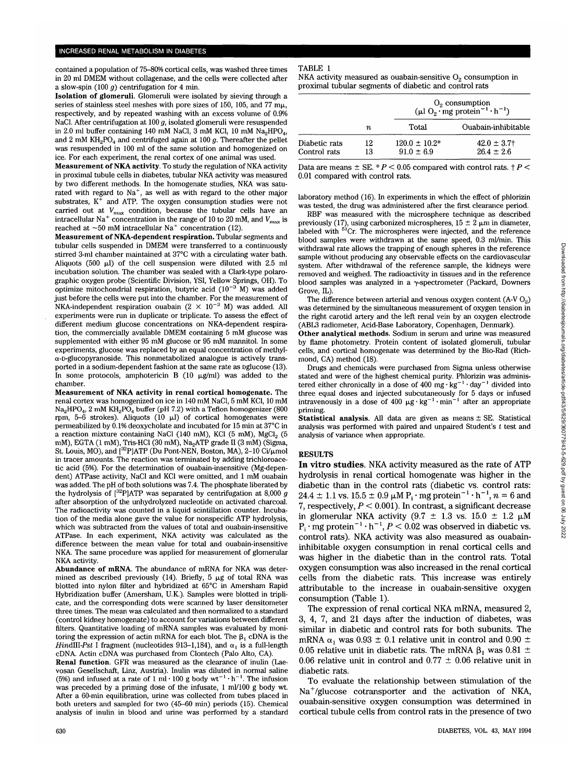contained a population of 75-80% cortical cells, was washed three times in 20 ml DMEM without collagenase, and the cells were collected after a slow-spin (100 *g)* centrifugation for 4 min.

**Isolation of glomeruli.** Glomeruli were isolated by sieving through a series of stainless steel meshes with pore sizes of 150, 105, and 77 m $\mu$ , respectively, and by repeated washing with an excess volume of 0.9% NaCl. After centrifugation at 100 *g,* isolated glomeruli were resuspended in 2.0 ml buffer containing 140 mM NaCl, 3 mM KCl, 10 mM  $\text{Na}_2\text{HPO}_4$ , and 2 mM  $KH_2PO_4$  and centrifuged again at 100 g. Thereafter the pellet was resuspended in 100 ml of the same solution and homogenized on ice. For each experiment, the renal cortex of one animal was used.

**Measurement of NKA activity.** To study the regulation of NKA activity in proximal tubule cells in diabetes, tubular NKA activity was measured by two different methods. In the homogenate studies, NKA was satuby two unterent methods. In the nomogenate studies, NKA was satu-<br>rated with regard to Na<sup>+</sup> as well as with regard to the other major rated with regard to Na, as well as with regard to the other major<br>substrates, K<sup>+</sup> and ATP. The oxygen consumption studies were not substrates, it and  $\Delta T$ . The exigen consumption statics were not<br>carried out at  $V_{\text{max}}$  condition, because the tubular cells have an<br>intracellular Na<sup>+</sup> concentration in the range of 10 to 20 mM, and *V* is intracellular Na<sup>+</sup> reached at —50 mM intracellular Na<sup>+</sup> concentration (19). reached at ~50 mm intracentuar iva = concentration (12).<br>Measurements CNKA-dependent respiration. The class and at and

Measurement of NKA-dependent respiration. Tubular segments and tubular cells suspended in DMEM were transferred to a continuously stirred 3-ml chamber maintained at 37°C with a circulating water bath. Aliquots (500  $\mu$ l) of the cell suspension were diluted with 2.5 ml incubation solution. The chamber was sealed with a Clark-type polarographic oxygen probe (Scientific Division, YSI, Yellow Springs, OH). To optimize mitochondrial respiration, butyric acid  $(10^{-3}$  M) was added just before the cells were put into the chamber. For the measurement of NKA-independent respiration ouabain  $(2 \times 10^{-3}$  M) was added. All experiments were run in duplicate or triplicate. To assess the effect of different medium glucose concentrations on NKA-dependent respiration, the commercially available DMEM containing 5 mM glucose was supplemented with either 95 mM glucose or 95 mM mannitol. In some experiments, glucose was replaced by an equal concentration of methyl- $\alpha$ -D-glucopyranoside. This nonmetabolized analogue is actively transported in a sodium-dependent fashion at the same rate as  $loglu\cos\left(13\right)$ . In some protocols, amphotericin B (10  $\mu$ g/ml) was added to the chamber.

**Measurement of NKA activity in renal cortical homogenate.** The renal cortex was homogenized on ice in 140 mM NaCl, 5 mM KC1,10 mM  $Na<sub>2</sub>HPO<sub>4</sub>$ , 2 mM  $KH<sub>2</sub>PO<sub>4</sub>$  buffer (pH 7.2) with a Teflon homogenizer (800 rpm, 5-6 strokes). Aliquots (10  $\mu$ l) of cortical homogenates were permeabilized by 0.1% deoxycholate and incubated for 15 min at 37°C in a reaction mixture containing NaCl (140 mM), KCl (5 mM),  $MgCl<sub>2</sub>$  (5 mM), EGTA (1 mM), Tris-HCl (30 mM), Na<sub>2</sub>ATP grade II (3 mM) (Sigma, St. Louis, MO), and  $[{}^{32}P]ATP$  (Du Pont-NEN, Boston, MA), 2-10 Ci/ $\mu$ mol in tracer amounts. The reaction was terminated by adding trichloroacetic acid (5%). For the determination of ouabain-insensitive (Mg-dependent) ATPase activity, NaCl and KC1 were omitted, and 1 mM ouabain was added. The pH of both solutions was 7.4. The phosphate liberated by the hydrolysis of [32P]ATP was separated by centrifugation at 8,000 *g* after absorption of the unhydrolyzed nucleotide on activated charcoal. The radioactivity was counted in a liquid scintillation counter. Incubation of the media alone gave the value for nonspecific ATP hydrolysis, which was subtracted from the values of total and ouabain-insensitive ATPase. In each experiment, NKA activity was calculated as the difference between the mean value for total and ouabain-insensitive NKA. The same procedure was applied for measurement of glomerular NKA activity.

**Abundance of mRNA.** The abundance of mRNA for NKA was determined as described previously (14). Briefly, 5  $\mu$ g of total RNA was blotted into nylon filter and hybridized at 65°C in Amersham Rapid Hybridization buffer (Amersham, U.K.). Samples were blotted in triplicate, and the corresponding dots were scanned by laser densitometer three times. The mean was calculated and then normalized to a standard (control kidney homogenate) to account for variations between different filters. Quantitative loading of mRNA samples was evaluated by monitoring the expression of actin mRNA for each blot. The  $\beta_1$  cDNA is the *HindIII-Pst* I fragment (nucleotides 913–1,184), and  $\alpha_1$  is a full-length cDNA. Actin cDNA was purchased from Clontech (Palo Alto, CA).

**Renal function.** GFR was measured as the clearance of inulin (Laevosan Gesellschaft, Linz, Austria). Inulin was diluted in normal saline (5%) and infused at a rate of 1 ml · 100 g body  $wt^{-1} \cdot h^{-1}$ . The infusion was preceded by a priming dose of the infusate, 1 ml/100 g body wt. After a 60-min equilibration, urine was collected from tubes placed in both ureters and sampled for two (45-60 min) periods (15). Chemical analysis of inulin in blood and urine was performed by a standard

## 630 DIABETES, VOL. 43, MAY 1994

#### TABLE 1

NKA activity measured as ouabain-sensitive  $O<sub>2</sub>$  consumption in proximal tubular segments of diabetic and control rats

|                               | п        | $O_2$ consumption<br>( $\mu$ l $O_2 \cdot$ mg protein <sup>-1</sup> · h <sup>-1</sup> ) |                                  |
|-------------------------------|----------|-----------------------------------------------------------------------------------------|----------------------------------|
|                               |          | Total                                                                                   | Ouabain-inhibitable              |
| Diabetic rats<br>Control rats | 12<br>13 | $120.0 \pm 10.2*$<br>$91.0 \pm 6.9$                                                     | $42.0 \pm 3.7$<br>$26.4 \pm 2.6$ |

Data are means  $\pm$  SE.  $*P < 0.05$  compared with control rats,  $\dagger P <$ 0.01 compared with control rats.

laboratory method (16). In experiments in which the effect of phlorizin was tested, the drug was administered after the first clearance period.

RBF was measured with the microsphere technique as described previously (17), using carbonized microspheres, 15  $\pm$  2  $\mu$ m in diameter, labeled with <sup>51</sup>Cr. The microspheres were injected, and the reference blood samples were withdrawn at the same speed, 0.3 ml/min. This withdrawal rate allows the trapping of enough spheres in the reference sample without producing any observable effects on the cardiovascular system. After withdrawal of the reference sample, the kidneys were removed and weighed. The radioactivity in tissues and in the reference blood samples was analyzed in a  $\gamma$ -spectrometer (Packard, Downers Grove, IL).

The difference between arterial and venous oxygen content  $(A-V O<sub>2</sub>)$ was determined by the simultaneous measurement of oxygen tension in the right carotid artery and the left renal vein by an oxygen electrode (ABL3 radiometer, Acid-Base Laboratory, Copenhagen, Denmark).

**Other analytical methods.** Sodium in serum and urine was measured by flame photometry. Protein content of isolated glomeruli, tubular cells, and cortical homogenate was determined by the Bio-Rad (Richmond, CA) method (18).

Drugs and chemicals were purchased from Sigma unless otherwise stated and were of the highest chemical purity. Phlorizin was administered either chronically in a dose of  $400 \text{ mg} \cdot \text{kg}^{-1} \cdot \text{day}^{-1}$  divided into three equal doses and injected subcutaneously for 5 days or infused intravenously in a dose of 400  $\mu$ g · kg<sup>-1</sup> · min<sup>-1</sup> after an appropriate priming.

**Statistical analysis.** All data are given as means ± SE. Statistical analysis was performed with paired and unpaired Student's *t* test and analysis of variance when appropriate.

#### **RESULTS**

**In vitro studies.** NKA activity measured as the rate of ATP hydrolysis in renal cortical homogenate was higher in the diabetic than in the control rats (diabetic vs. control rats:  $24.4 \pm 1.1$  vs.  $15.5 \pm 0.9$   $\mu$ M P<sub>i</sub> · mg protein<sup>-1</sup> · h<sup>-1</sup>, n = 6 and 7, respectively, *P <* 0.001). In contrast, a significant decrease in glomerular NKA activity (9.7  $\pm$  1.3 vs. 15.0  $\pm$  1.2  $\mu$ M  $P_i \cdot mg$  protein<sup>-1</sup>  $\cdot h^{-1}$ ,  $P < 0.02$  was observed in diabetic vs. control rats). NKA activity was also measured as ouabaininhibitable oxygen consumption in renal cortical cells and was higher in the diabetic than in the control rats. Total oxygen consumption was also increased in the renal cortical cells from the diabetic rats. This increase was entirely attributable to the increase in ouabain-sensitive oxygen consumption (Table 1).

The expression of renal cortical NKA mRNA, measured 2, 3, 4, 7, and 21 days after the induction of diabetes, was similar in diabetic and control rats for both subunits. The mRNA  $\alpha_1$  was 0.93  $\pm$  0.1 relative unit in control and 0.90  $\pm$ 0.05 relative unit in diabetic rats. The mRNA  $\beta_1$  was 0.81  $\pm$ 0.06 relative unit in control and 0.77  $\pm$  0.06 relative unit in diabetic rats.

To evaluate the relationship between stimulation of the Na<sup>+</sup> /glucose cotransporter and the activation of NKA, ouabain-sensitive oxygen consumption was determined in cortical tubule cells from control rats in the presence of two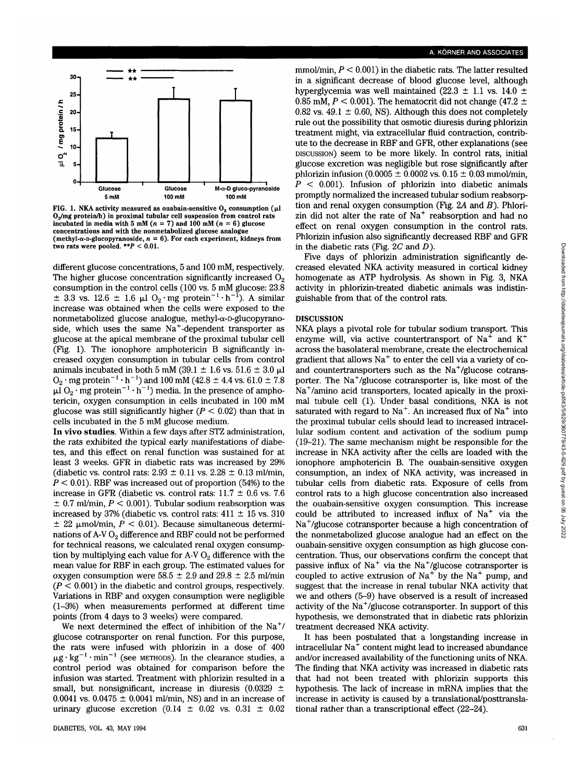

**FIG. 1. NKA activity measured as ouabain-sensitive**  $O<sub>2</sub>$  **consumption (** $\mu$ **1 O2/mg protein/h) in proximal tubular cell suspension from control rats incubated in media with 5 mM (n = 7) and 100 mM (n = 6) glucose concentrations and with the nonmetabolized glucose analogue** (methyl- $\alpha$ -D-glucopyranoside,  $n = 6$ ). For each experiment, kidneys from  $t_{\text{wo}}$  rats were pooled.  $*P < 0.01$ .

different glucose concentrations, 5 and 100 mM, respectively. The higher glucose concentration significantly increased  $O<sub>2</sub>$ consumption in the control cells (100 vs. 5 mM glucose: 23.8  $\pm$  3.3 vs. 12.6  $\pm$  1.6  $\mu$ l O<sub>2</sub>·mg protein<sup>-1</sup>·h<sup>-1</sup>). A similar increase was obtained when the cells were exposed to the nonmetabolized glucose analogue, methyl-a-D-glucopyranoside, which uses the same  $Na^+$ -dependent transporter as glucose at the apical membrane of the proximal tubular cell (Fig. 1). The ionophore amphotericin B significantly increased oxygen consumption in tubular cells from control animals incubated in both 5 mM (39.1  $\pm$  1.6 vs. 51.6  $\pm$  3.0  $\mu$ l  $O_2 \cdot$  mg protein<sup>-1</sup>  $\cdot$  h<sup>-1</sup>) and 100 mM (42.8  $\pm$  4.4 vs. 61.0  $\pm$  7.8  $\mu$ l O<sub>2</sub> · mg protein<sup>-1</sup> · h<sup>-1</sup>) media. In the presence of amphotericin, oxygen consumption in cells incubated in 100 mM glucose was still significantly higher *(P <* 0.02) than that in cells incubated in the 5 mM glucose medium.

**In vivo studies.** Within a few days after STZ administration, the rats exhibited the typical early manifestations of diabetes, and this effect on renal function was sustained for at least 3 weeks. GFR in diabetic rats was increased by 29% (diabetic vs. control rats:  $2.93 \pm 0.11$  vs.  $2.28 \pm 0.13$  ml/min, *P <* 0.01). RBF was increased out of proportion (54%) to the increase in GFR (diabetic vs. control rats:  $11.7 \pm 0.6$  vs. 7.6 ± 0.7 ml/min, *P <* 0.001). Tubular sodium reabsorption was increased by 37% (diabetic vs. control rats:  $411 \pm 15$  vs. 310  $\pm$  22  $\mu$ mol/min,  $P < 0.01$ ). Because simultaneous determinations of A-V O<sub>2</sub> difference and RBF could not be performed for technical reasons, we calculated renal oxygen consumption by multiplying each value for A-V  $O_2$  difference with the mean value for RBF in each group. The estimated values for oxygen consumption were  $58.5 \pm 2.9$  and  $29.8 \pm 2.5$  ml/min  $(P < 0.001)$  in the diabetic and control groups, respectively. Variations in RBF and oxygen consumption were negligible (1-3%) when measurements performed at different time points (from 4 days to 3 weeks) were compared.

We next determined the effect of inhibition of the  $Na<sup>+</sup>/$ glucose cotransporter on renal function. For this purpose, the rats were infused with phlorizin in a dose of 400  $\mu$ g·kg<sup>-1</sup>·min<sup>-1</sup> (see METHODS). In the clearance studies, a control period was obtained for comparison before the infusion was started. Treatment with phlorizin resulted in a small, but nonsignificant, increase in diuresis  $(0.0329 \pm 1)$ 0.0041 vs.  $0.0475 \pm 0.0041$  ml/min, NS) and in an increase of urinary glucose excretion  $(0.14 \pm 0.02 \text{ vs. } 0.31 \pm 0.02 \text{ s})$ 

# **A. KORNER AND ASSOCIATES**

mmol/min, *P <* 0.001) in the diabetic rats. The latter resulted in a significant decrease of blood glucose level, although hyperglycemia was well maintained (22.3  $\pm$  1.1 vs. 14.0  $\pm$ 0.85 mM,  $P < 0.001$ ). The hematocrit did not change (47.2  $\pm$ 0.82 vs.  $49.1 \pm 0.60$ , NS). Although this does not completely rule out the possibility that osmotic diuresis during phlorizin treatment might, via extracellular fluid contraction, contribute to the decrease in RBF and GFR, other explanations (see DISCUSSION) seem to be more likely. In control rats, initial glucose excretion was negligible but rose significantly after phlorizin infusion (0.0005  $\pm$  0.0002 vs. 0.15  $\pm$  0.03 mmol/min, *P <* 0.001). Infusion of phlorizin into diabetic animals promptly normalized the increased tubular sodium reabsorption and renal oxygen consumption (Fig. *2A* and *B).* Phlorizin did not alter the rate of  $Na<sup>+</sup>$  reabsorption and had no effect on renal oxygen consumption in the control rats. Phlorizin infusion also significantly decreased RBF and GFR in the diabetic rats (Fig. 2C and D).

Five days of phlorizin administration significantly decreased elevated NKA activity measured in cortical kidney homogenate as ATP hydrolysis. As shown in Fig. 3, NKA activity in phlorizin-treated diabetic animals was indistinguishable from that of the control rats.

## DISCUSSION

NKA plays a pivotal role for tubular sodium transport. This enzyme will, via active countertransport of  $Na<sup>+</sup>$  and  $K<sup>+</sup>$ across the basolateral membrane, create the electrochemical gradient that allows Na<sup>+</sup> to enter the cell via a variety of coand countertransporters such as the  $Na^+$ /glucose cotransporter. The Na<sup>+</sup>/glucose cotransporter is, like most of the Na<sup>+</sup> /amino acid transporters, located apically in the proximal tubule cell (1). Under basal conditions, NKA is not saturated with regard to Na<sup>+</sup>. An increased flux of Na<sup>+</sup> into the proximal tubular cells should lead to increased intracellular sodium content and activation of the sodium pump (19-21). The same mechanism might be responsible for the increase in NKA activity after the cells are loaded with the ionophore amphotericin B. The ouabain-sensitive oxygen consumption, an index of NKA activity, was increased in tubular cells from diabetic rats. Exposure of cells from control rats to a high glucose concentration also increased the ouabain-sensitive oxygen consumption. This increase could be attributed to increased influx of  $Na<sup>+</sup>$  via the Na<sup>+</sup> /glucose cotransporter because a high concentration of the nonmetabolized glucose analogue had an effect on the ouabain-sensitive oxygen consumption as high glucose concentration. Thus, our observations confirm the concept that passive influx of Na<sup>+</sup> via the Na<sup>+</sup>/glucose cotransporter is coupled to active extrusion of  $Na<sup>+</sup>$  by the Na<sup>+</sup> pump, and suggest that the increase in renal tubular NKA activity that we and others (5-9) have observed is a result of increased activity of the Na<sup>+</sup>/glucose cotransporter. In support of this hypothesis, we demonstrated that in diabetic rats phlorizin treatment decreased NKA activity.

It has been postulated that a longstanding increase in intracellular  $\text{Na}^+$  content might lead to increased abundance and/or increased availability of the functioning units of NKA. The finding that NKA activity was increased in diabetic rats that had not been treated with phlorizin supports this hypothesis. The lack of increase in mRNA implies that the increase in activity is caused by a translational/posttranslational rather than a transcriptional effect (22-24).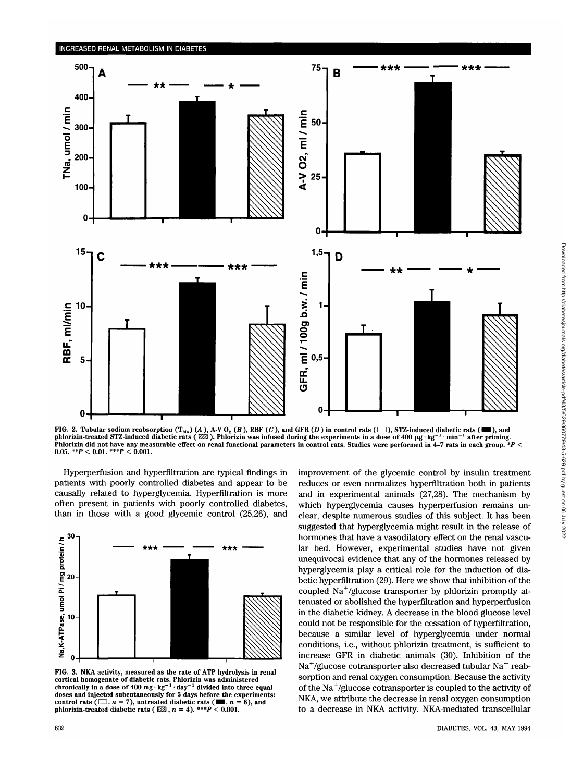

FIG. 2. Tubular sodium reabsorption  $(T_{Na})$  (A), A-V O<sub>2</sub> (B), RBF (C), and GFR (D) in control rats ( $\Box$ ), STZ-induced diabetic rats ( $\Box$ ), and phorizin-treated STZ-induced diabetic rats ( $\boxtimes$ ). Phorizin was infused dur Phlorizin did not have any measurable effect on renal functional parameters in control rats. Studies were performed in 4-7 rats in each group. \*P < 0.01. \*\*\*P < 0.01. \*\*\*P < 0.001.

Hyperperfusion and hyperfiltration are typical findings in patients with poorly controlled diabetes and appear to be causally related to hyperglycemia. Hyperfiltration is more often present in patients with poorly controlled diabetes, than in those with a good glycemic control (25,26), and



FIG. 3. NKA activity, measured as the rate of ATP hydrolysis in renal cortical homogenate of diabetic rats. Phlorizin was administered<br>chronically in a dose of 400 mg·kg<sup>-1</sup>·day<sup>-1</sup> divided into three equal doses and injected subcutaneously for 5 days before the experiments: control rats ( $\Box$ ,  $n = 7$ ), untreated diabetic rats ( $\Box$  $\blacksquare$ .  $n =$ 6), and phlorizin-treated diabetic rats ( $\mathbb{S}$ , n = 4). \*\*\* $P < 0.001$ .

improvement of the glycemic control by insulin treatment reduces or even normalizes hyperfiltration both in patients and in experimental animals (27,28). The mechanism by which hyperglycemia causes hyperperfusion remains unclear, despite numerous studies of this subject. It has been suggested that hyperglycemia might result in the release of hormones that have a vasodilatory effect on the renal vascular bed. However, experimental studies have not given unequivocal evidence that any of the hormones released by hyperglycemia play a critical role for the induction of diabetic hyperfiltration (29). Here we show that inhibition of the coupled Na<sup>+</sup>/glucose transporter by phlorizin promptly attenuated or abolished the hyperfiltration and hyperperfusion in the diabetic kidney. A decrease in the blood glucose level could not be responsible for the cessation of hyperfiltration, because a similar level of hyperglycemia under normal conditions, i.e., without phlorizin treatment, is sufficient to increase GFR in diabetic animals (30). Inhibition of the  $Na<sup>+</sup>/glucose cotransporter also decreased tubular Na<sup>+</sup> reab$ sorption and renal oxygen consumption. Because the activity of the Na<sup>+</sup>/glucose cotransporter is coupled to the activity of NKA, we attribute the decrease in renal oxygen consumption to a decrease in NKA activity. NKA-mediated transcellular